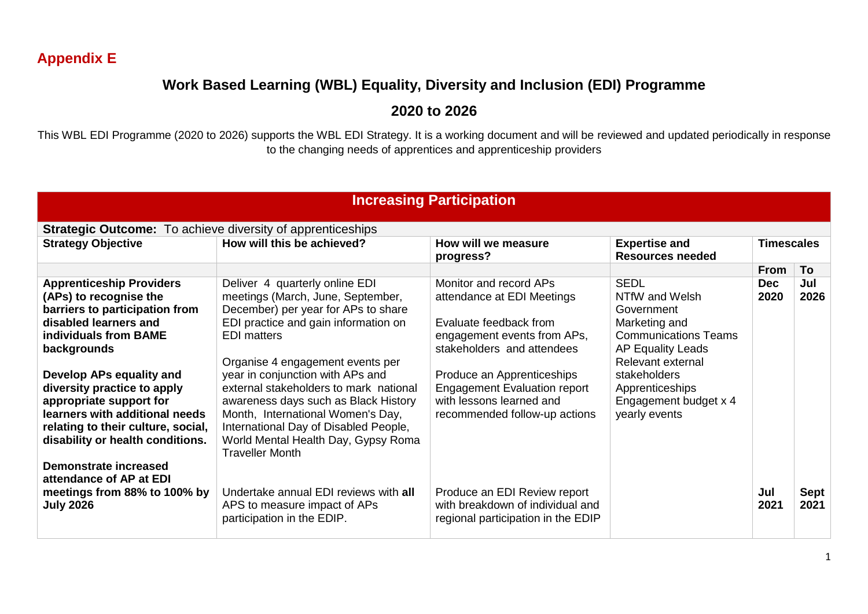## **Appendix E**

## **Work Based Learning (WBL) Equality, Diversity and Inclusion (EDI) Programme**

## **2020 to 2026**

This WBL EDI Programme (2020 to 2026) supports the WBL EDI Strategy. It is a working document and will be reviewed and updated periodically in response to the changing needs of apprentices and apprenticeship providers

| <b>Increasing Participation</b>                                                                                                                                                                                                                                                                                                                                                                                    |                                                                                                                                                                                                                                                                                                                                                                                                                                                                                   |                                                                                                                                                                                                                                                                               |                                                                                                                                                                                                                           |                    |              |  |  |
|--------------------------------------------------------------------------------------------------------------------------------------------------------------------------------------------------------------------------------------------------------------------------------------------------------------------------------------------------------------------------------------------------------------------|-----------------------------------------------------------------------------------------------------------------------------------------------------------------------------------------------------------------------------------------------------------------------------------------------------------------------------------------------------------------------------------------------------------------------------------------------------------------------------------|-------------------------------------------------------------------------------------------------------------------------------------------------------------------------------------------------------------------------------------------------------------------------------|---------------------------------------------------------------------------------------------------------------------------------------------------------------------------------------------------------------------------|--------------------|--------------|--|--|
| <b>Strategic Outcome:</b> To achieve diversity of apprenticeships                                                                                                                                                                                                                                                                                                                                                  |                                                                                                                                                                                                                                                                                                                                                                                                                                                                                   |                                                                                                                                                                                                                                                                               |                                                                                                                                                                                                                           |                    |              |  |  |
| <b>Strategy Objective</b>                                                                                                                                                                                                                                                                                                                                                                                          | How will this be achieved?                                                                                                                                                                                                                                                                                                                                                                                                                                                        | How will we measure<br>progress?                                                                                                                                                                                                                                              | <b>Expertise and</b><br><b>Resources needed</b>                                                                                                                                                                           | <b>Timescales</b>  |              |  |  |
|                                                                                                                                                                                                                                                                                                                                                                                                                    |                                                                                                                                                                                                                                                                                                                                                                                                                                                                                   |                                                                                                                                                                                                                                                                               |                                                                                                                                                                                                                           | <b>From</b>        | To           |  |  |
| <b>Apprenticeship Providers</b><br>(APs) to recognise the<br>barriers to participation from<br>disabled learners and<br>individuals from BAME<br>backgrounds<br>Develop APs equality and<br>diversity practice to apply<br>appropriate support for<br>learners with additional needs<br>relating to their culture, social,<br>disability or health conditions.<br>Demonstrate increased<br>attendance of AP at EDI | Deliver 4 quarterly online EDI<br>meetings (March, June, September,<br>December) per year for APs to share<br>EDI practice and gain information on<br><b>EDI</b> matters<br>Organise 4 engagement events per<br>year in conjunction with APs and<br>external stakeholders to mark national<br>awareness days such as Black History<br>Month, International Women's Day,<br>International Day of Disabled People,<br>World Mental Health Day, Gypsy Roma<br><b>Traveller Month</b> | Monitor and record APs<br>attendance at EDI Meetings<br>Evaluate feedback from<br>engagement events from APs,<br>stakeholders and attendees<br>Produce an Apprenticeships<br><b>Engagement Evaluation report</b><br>with lessons learned and<br>recommended follow-up actions | <b>SEDL</b><br>NTfW and Welsh<br>Government<br>Marketing and<br><b>Communications Teams</b><br><b>AP Equality Leads</b><br>Relevant external<br>stakeholders<br>Apprenticeships<br>Engagement budget x 4<br>yearly events | <b>Dec</b><br>2020 | Jul<br>2026  |  |  |
| meetings from 88% to 100% by<br><b>July 2026</b>                                                                                                                                                                                                                                                                                                                                                                   | Undertake annual EDI reviews with all<br>APS to measure impact of APs<br>participation in the EDIP.                                                                                                                                                                                                                                                                                                                                                                               | Produce an EDI Review report<br>with breakdown of individual and<br>regional participation in the EDIP                                                                                                                                                                        |                                                                                                                                                                                                                           | Jul<br>2021        | Sept<br>2021 |  |  |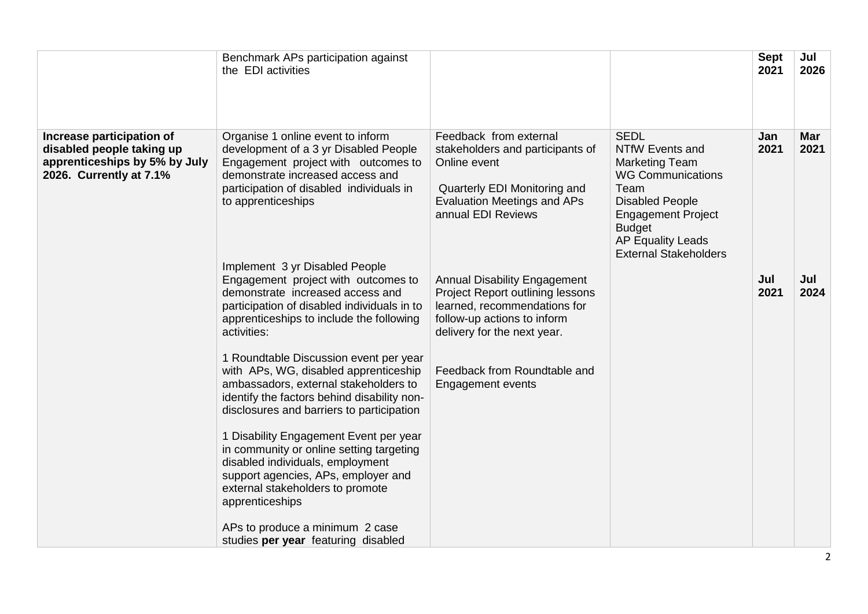|                                                                                                                    | Benchmark APs participation against<br>the EDI activities                                                                                                                                                               |                                                                                                                                                                        |                                                                                                                                                                                                                                 | <b>Sept</b><br>2021 | Jul<br>2026        |
|--------------------------------------------------------------------------------------------------------------------|-------------------------------------------------------------------------------------------------------------------------------------------------------------------------------------------------------------------------|------------------------------------------------------------------------------------------------------------------------------------------------------------------------|---------------------------------------------------------------------------------------------------------------------------------------------------------------------------------------------------------------------------------|---------------------|--------------------|
| Increase participation of<br>disabled people taking up<br>apprenticeships by 5% by July<br>2026. Currently at 7.1% | Organise 1 online event to inform<br>development of a 3 yr Disabled People<br>Engagement project with outcomes to<br>demonstrate increased access and<br>participation of disabled individuals in<br>to apprenticeships | Feedback from external<br>stakeholders and participants of<br>Online event<br>Quarterly EDI Monitoring and<br><b>Evaluation Meetings and APs</b><br>annual EDI Reviews | <b>SEDL</b><br>NTfW Events and<br><b>Marketing Team</b><br><b>WG Communications</b><br>Team<br><b>Disabled People</b><br><b>Engagement Project</b><br><b>Budget</b><br><b>AP Equality Leads</b><br><b>External Stakeholders</b> | Jan<br>2021         | <b>Mar</b><br>2021 |
|                                                                                                                    | Implement 3 yr Disabled People<br>Engagement project with outcomes to<br>demonstrate increased access and<br>participation of disabled individuals in to<br>apprenticeships to include the following<br>activities:     | <b>Annual Disability Engagement</b><br>Project Report outlining lessons<br>learned, recommendations for<br>follow-up actions to inform<br>delivery for the next year.  |                                                                                                                                                                                                                                 | Jul<br>2021         | Jul<br>2024        |
|                                                                                                                    | 1 Roundtable Discussion event per year<br>with APs, WG, disabled apprenticeship<br>ambassadors, external stakeholders to<br>identify the factors behind disability non-<br>disclosures and barriers to participation    | Feedback from Roundtable and<br><b>Engagement events</b>                                                                                                               |                                                                                                                                                                                                                                 |                     |                    |
|                                                                                                                    | 1 Disability Engagement Event per year<br>in community or online setting targeting<br>disabled individuals, employment<br>support agencies, APs, employer and<br>external stakeholders to promote<br>apprenticeships    |                                                                                                                                                                        |                                                                                                                                                                                                                                 |                     |                    |
|                                                                                                                    | APs to produce a minimum 2 case<br>studies per year featuring disabled                                                                                                                                                  |                                                                                                                                                                        |                                                                                                                                                                                                                                 |                     |                    |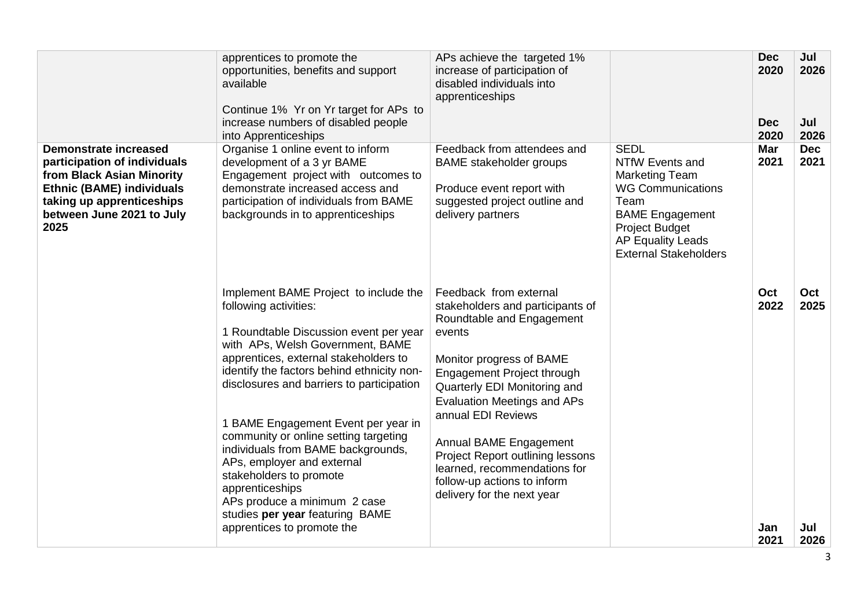|                                                                                                                                                                                                 | apprentices to promote the<br>opportunities, benefits and support<br>available<br>Continue 1% Yr on Yr target for APs to<br>increase numbers of disabled people<br>into Apprenticeships                                                                                                                                                                                                                                                                                                                                                                                             | APs achieve the targeted 1%<br>increase of participation of<br>disabled individuals into<br>apprenticeships                                                                                                                                                                                                                                                                                                        |                                                                                                                                                                                                            | <b>Dec</b><br>2020<br><b>Dec</b><br>2020 | Jul<br>2026<br>Jul<br>2026 |
|-------------------------------------------------------------------------------------------------------------------------------------------------------------------------------------------------|-------------------------------------------------------------------------------------------------------------------------------------------------------------------------------------------------------------------------------------------------------------------------------------------------------------------------------------------------------------------------------------------------------------------------------------------------------------------------------------------------------------------------------------------------------------------------------------|--------------------------------------------------------------------------------------------------------------------------------------------------------------------------------------------------------------------------------------------------------------------------------------------------------------------------------------------------------------------------------------------------------------------|------------------------------------------------------------------------------------------------------------------------------------------------------------------------------------------------------------|------------------------------------------|----------------------------|
| <b>Demonstrate increased</b><br>participation of individuals<br>from Black Asian Minority<br><b>Ethnic (BAME) individuals</b><br>taking up apprenticeships<br>between June 2021 to July<br>2025 | Organise 1 online event to inform<br>development of a 3 yr BAME<br>Engagement project with outcomes to<br>demonstrate increased access and<br>participation of individuals from BAME<br>backgrounds in to apprenticeships                                                                                                                                                                                                                                                                                                                                                           | Feedback from attendees and<br><b>BAME</b> stakeholder groups<br>Produce event report with<br>suggested project outline and<br>delivery partners                                                                                                                                                                                                                                                                   | <b>SEDL</b><br>NTfW Events and<br><b>Marketing Team</b><br><b>WG Communications</b><br>Team<br><b>BAME Engagement</b><br><b>Project Budget</b><br><b>AP Equality Leads</b><br><b>External Stakeholders</b> | <b>Mar</b><br>2021                       | <b>Dec</b><br>2021         |
|                                                                                                                                                                                                 | Implement BAME Project to include the<br>following activities:<br>1 Roundtable Discussion event per year<br>with APs, Welsh Government, BAME<br>apprentices, external stakeholders to<br>identify the factors behind ethnicity non-<br>disclosures and barriers to participation<br>1 BAME Engagement Event per year in<br>community or online setting targeting<br>individuals from BAME backgrounds,<br>APs, employer and external<br>stakeholders to promote<br>apprenticeships<br>APs produce a minimum 2 case<br>studies per year featuring BAME<br>apprentices to promote the | Feedback from external<br>stakeholders and participants of<br>Roundtable and Engagement<br>events<br>Monitor progress of BAME<br>Engagement Project through<br>Quarterly EDI Monitoring and<br><b>Evaluation Meetings and APs</b><br>annual EDI Reviews<br>Annual BAME Engagement<br>Project Report outlining lessons<br>learned, recommendations for<br>follow-up actions to inform<br>delivery for the next year |                                                                                                                                                                                                            | Oct<br>2022<br>Jan<br>2021               | Oct<br>2025<br>Jul<br>2026 |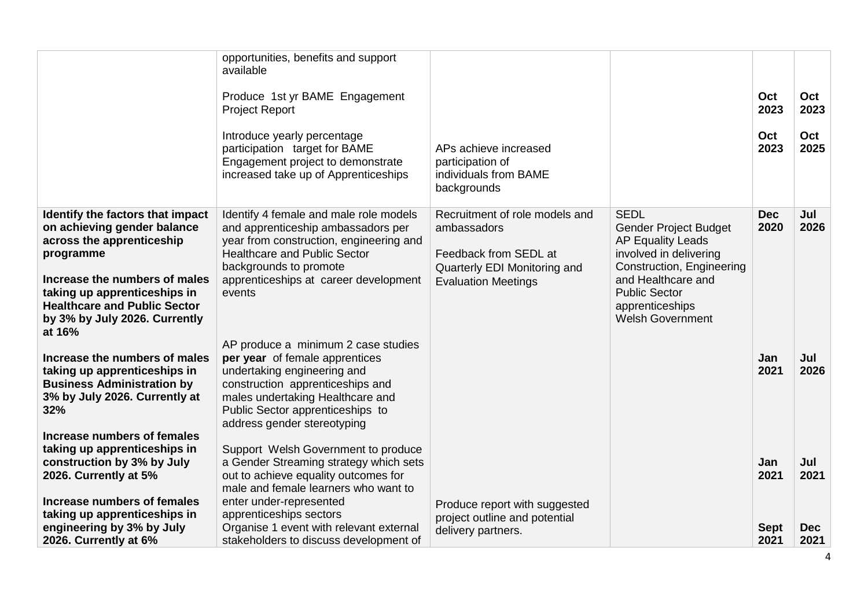|                                                                                                                                                 | opportunities, benefits and support<br>available                                                                                                                                                         |                                                                                   |                                                                                          |                     |                    |
|-------------------------------------------------------------------------------------------------------------------------------------------------|----------------------------------------------------------------------------------------------------------------------------------------------------------------------------------------------------------|-----------------------------------------------------------------------------------|------------------------------------------------------------------------------------------|---------------------|--------------------|
|                                                                                                                                                 | Produce 1st yr BAME Engagement<br><b>Project Report</b>                                                                                                                                                  |                                                                                   |                                                                                          | Oct<br>2023         | Oct<br>2023        |
|                                                                                                                                                 | Introduce yearly percentage<br>participation target for BAME<br>Engagement project to demonstrate<br>increased take up of Apprenticeships                                                                | APs achieve increased<br>participation of<br>individuals from BAME<br>backgrounds |                                                                                          | Oct<br>2023         | Oct<br>2025        |
| Identify the factors that impact                                                                                                                | Identify 4 female and male role models                                                                                                                                                                   | Recruitment of role models and                                                    | <b>SEDL</b>                                                                              | <b>Dec</b>          | Jul                |
| on achieving gender balance<br>across the apprenticeship                                                                                        | and apprenticeship ambassadors per<br>year from construction, engineering and                                                                                                                            | ambassadors                                                                       | <b>Gender Project Budget</b><br><b>AP Equality Leads</b>                                 | 2020                | 2026               |
| programme                                                                                                                                       | <b>Healthcare and Public Sector</b>                                                                                                                                                                      | Feedback from SEDL at                                                             | involved in delivering                                                                   |                     |                    |
|                                                                                                                                                 | backgrounds to promote                                                                                                                                                                                   | Quarterly EDI Monitoring and                                                      | Construction, Engineering                                                                |                     |                    |
| Increase the numbers of males<br>taking up apprenticeships in<br><b>Healthcare and Public Sector</b><br>by 3% by July 2026. Currently<br>at 16% | apprenticeships at career development<br>events                                                                                                                                                          | <b>Evaluation Meetings</b>                                                        | and Healthcare and<br><b>Public Sector</b><br>apprenticeships<br><b>Welsh Government</b> |                     |                    |
|                                                                                                                                                 | AP produce a minimum 2 case studies                                                                                                                                                                      |                                                                                   |                                                                                          |                     |                    |
| Increase the numbers of males<br>taking up apprenticeships in<br><b>Business Administration by</b><br>3% by July 2026. Currently at<br>32%      | per year of female apprentices<br>undertaking engineering and<br>construction apprenticeships and<br>males undertaking Healthcare and<br>Public Sector apprenticeships to<br>address gender stereotyping |                                                                                   |                                                                                          | Jan<br>2021         | Jul<br>2026        |
| Increase numbers of females                                                                                                                     |                                                                                                                                                                                                          |                                                                                   |                                                                                          |                     |                    |
| taking up apprenticeships in<br>construction by 3% by July                                                                                      | Support Welsh Government to produce<br>a Gender Streaming strategy which sets                                                                                                                            |                                                                                   |                                                                                          | Jan                 | Jul                |
| 2026. Currently at 5%                                                                                                                           | out to achieve equality outcomes for<br>male and female learners who want to                                                                                                                             |                                                                                   |                                                                                          | 2021                | 2021               |
| Increase numbers of females                                                                                                                     | enter under-represented                                                                                                                                                                                  | Produce report with suggested                                                     |                                                                                          |                     |                    |
| taking up apprenticeships in                                                                                                                    | apprenticeships sectors                                                                                                                                                                                  | project outline and potential                                                     |                                                                                          |                     |                    |
| engineering by 3% by July<br>2026. Currently at 6%                                                                                              | Organise 1 event with relevant external<br>stakeholders to discuss development of                                                                                                                        | delivery partners.                                                                |                                                                                          | <b>Sept</b><br>2021 | <b>Dec</b><br>2021 |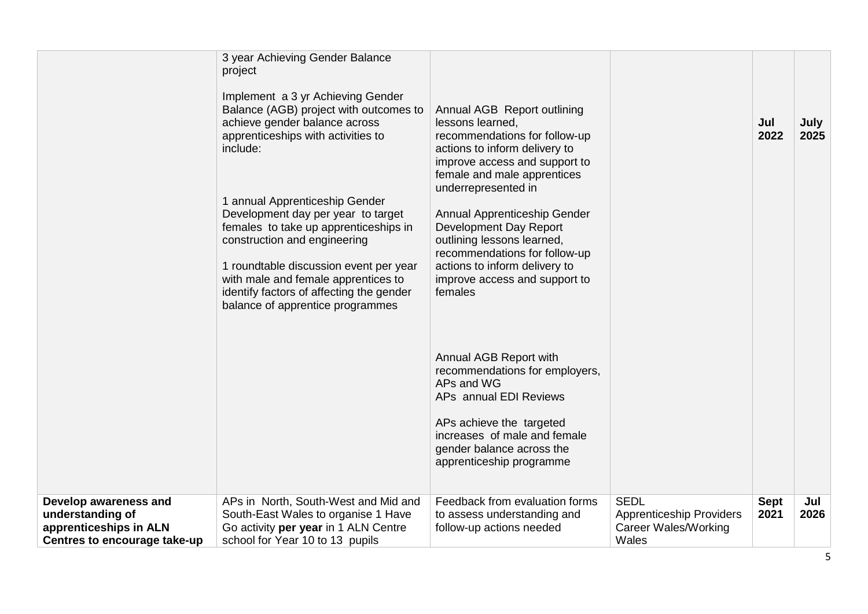|                                                                                                     | 3 year Achieving Gender Balance<br>project<br>Implement a 3 yr Achieving Gender<br>Balance (AGB) project with outcomes to<br>achieve gender balance across<br>apprenticeships with activities to<br>include:<br>1 annual Apprenticeship Gender<br>Development day per year to target<br>females to take up apprenticeships in<br>construction and engineering<br>1 roundtable discussion event per year<br>with male and female apprentices to<br>identify factors of affecting the gender<br>balance of apprentice programmes | Annual AGB Report outlining<br>lessons learned,<br>recommendations for follow-up<br>actions to inform delivery to<br>improve access and support to<br>female and male apprentices<br>underrepresented in<br>Annual Apprenticeship Gender<br>Development Day Report<br>outlining lessons learned,<br>recommendations for follow-up<br>actions to inform delivery to<br>improve access and support to<br>females<br>Annual AGB Report with<br>recommendations for employers,<br>APs and WG<br>APs annual EDI Reviews<br>APs achieve the targeted<br>increases of male and female<br>gender balance across the<br>apprenticeship programme |                                                                                        | Jul<br>2022         | July<br>2025 |
|-----------------------------------------------------------------------------------------------------|--------------------------------------------------------------------------------------------------------------------------------------------------------------------------------------------------------------------------------------------------------------------------------------------------------------------------------------------------------------------------------------------------------------------------------------------------------------------------------------------------------------------------------|-----------------------------------------------------------------------------------------------------------------------------------------------------------------------------------------------------------------------------------------------------------------------------------------------------------------------------------------------------------------------------------------------------------------------------------------------------------------------------------------------------------------------------------------------------------------------------------------------------------------------------------------|----------------------------------------------------------------------------------------|---------------------|--------------|
| Develop awareness and<br>understanding of<br>apprenticeships in ALN<br>Centres to encourage take-up | APs in North, South-West and Mid and<br>South-East Wales to organise 1 Have<br>Go activity per year in 1 ALN Centre<br>school for Year 10 to 13 pupils                                                                                                                                                                                                                                                                                                                                                                         | Feedback from evaluation forms<br>to assess understanding and<br>follow-up actions needed                                                                                                                                                                                                                                                                                                                                                                                                                                                                                                                                               | <b>SEDL</b><br><b>Apprenticeship Providers</b><br><b>Career Wales/Working</b><br>Wales | <b>Sept</b><br>2021 | Jul<br>2026  |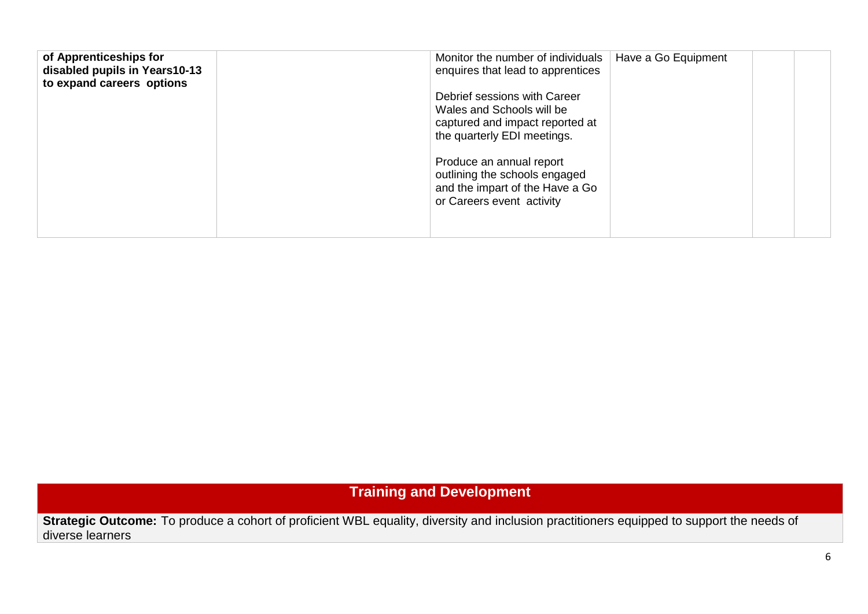| of Apprenticeships for<br>Monitor the number of individuals<br>disabled pupils in Years10-13<br>enquires that lead to apprentices<br>to expand careers options<br>Debrief sessions with Career<br>Wales and Schools will be<br>captured and impact reported at<br>the quarterly EDI meetings.<br>Produce an annual report<br>outlining the schools engaged<br>and the impart of the Have a Go<br>or Careers event activity | Have a Go Equipment |
|----------------------------------------------------------------------------------------------------------------------------------------------------------------------------------------------------------------------------------------------------------------------------------------------------------------------------------------------------------------------------------------------------------------------------|---------------------|
|----------------------------------------------------------------------------------------------------------------------------------------------------------------------------------------------------------------------------------------------------------------------------------------------------------------------------------------------------------------------------------------------------------------------------|---------------------|

**Training and Development**

**Strategic Outcome:** To produce a cohort of proficient WBL equality, diversity and inclusion practitioners equipped to support the needs of diverse learners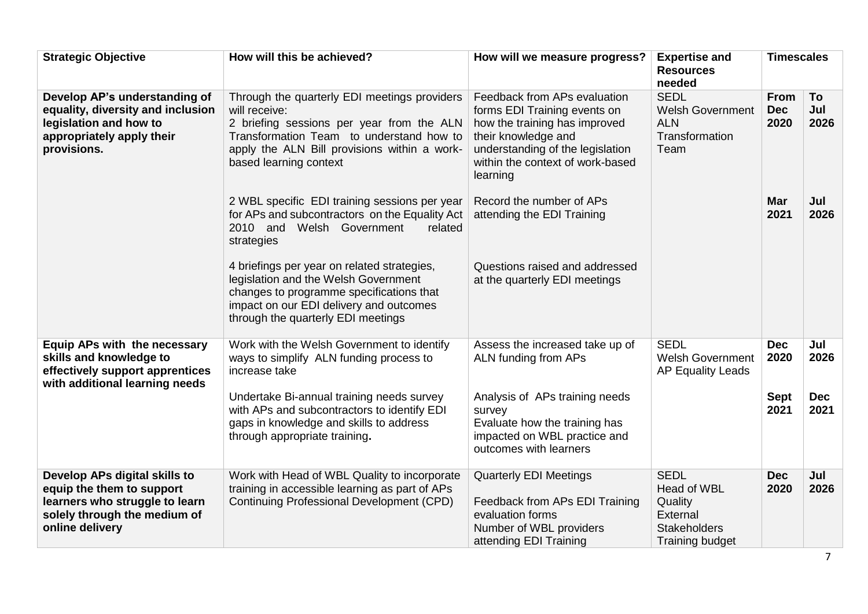| <b>Strategic Objective</b>                                                                                                                      | How will this be achieved?                                                                                                                                                                                                                                                     | How will we measure progress?                                                                                                                                                                            | <b>Expertise and</b><br><b>Resources</b><br>needed                                                 | <b>Timescales</b>                         |                                   |
|-------------------------------------------------------------------------------------------------------------------------------------------------|--------------------------------------------------------------------------------------------------------------------------------------------------------------------------------------------------------------------------------------------------------------------------------|----------------------------------------------------------------------------------------------------------------------------------------------------------------------------------------------------------|----------------------------------------------------------------------------------------------------|-------------------------------------------|-----------------------------------|
| Develop AP's understanding of<br>equality, diversity and inclusion<br>legislation and how to<br>appropriately apply their<br>provisions.        | Through the quarterly EDI meetings providers<br>will receive:<br>2 briefing sessions per year from the ALN<br>Transformation Team to understand how to<br>apply the ALN Bill provisions within a work-<br>based learning context                                               | Feedback from APs evaluation<br>forms EDI Training events on<br>how the training has improved<br>their knowledge and<br>understanding of the legislation<br>within the context of work-based<br>learning | <b>SEDL</b><br><b>Welsh Government</b><br><b>ALN</b><br>Transformation<br>Team                     | <b>From</b><br><b>Dec</b><br>2020         | To<br>Jul<br>2026                 |
|                                                                                                                                                 | 2 WBL specific EDI training sessions per year<br>for APs and subcontractors on the Equality Act<br>2010 and Welsh Government<br>related<br>strategies                                                                                                                          | Record the number of APs<br>attending the EDI Training                                                                                                                                                   |                                                                                                    | <b>Mar</b><br>2021                        | Jul<br>2026                       |
|                                                                                                                                                 | 4 briefings per year on related strategies,<br>legislation and the Welsh Government<br>changes to programme specifications that<br>impact on our EDI delivery and outcomes<br>through the quarterly EDI meetings                                                               | Questions raised and addressed<br>at the quarterly EDI meetings                                                                                                                                          |                                                                                                    |                                           |                                   |
| Equip APs with the necessary<br>skills and knowledge to<br>effectively support apprentices<br>with additional learning needs                    | Work with the Welsh Government to identify<br>ways to simplify ALN funding process to<br>increase take<br>Undertake Bi-annual training needs survey<br>with APs and subcontractors to identify EDI<br>gaps in knowledge and skills to address<br>through appropriate training. | Assess the increased take up of<br>ALN funding from APs<br>Analysis of APs training needs<br>survey<br>Evaluate how the training has<br>impacted on WBL practice and<br>outcomes with learners           | <b>SEDL</b><br><b>Welsh Government</b><br>AP Equality Leads                                        | <b>Dec</b><br>2020<br><b>Sept</b><br>2021 | Jul<br>2026<br><b>Dec</b><br>2021 |
| Develop APs digital skills to<br>equip the them to support<br>learners who struggle to learn<br>solely through the medium of<br>online delivery | Work with Head of WBL Quality to incorporate<br>training in accessible learning as part of APs<br>Continuing Professional Development (CPD)                                                                                                                                    | <b>Quarterly EDI Meetings</b><br>Feedback from APs EDI Training<br>evaluation forms<br>Number of WBL providers<br>attending EDI Training                                                                 | <b>SEDL</b><br>Head of WBL<br>Quality<br>External<br><b>Stakeholders</b><br><b>Training budget</b> | <b>Dec</b><br>2020                        | Jul<br>2026                       |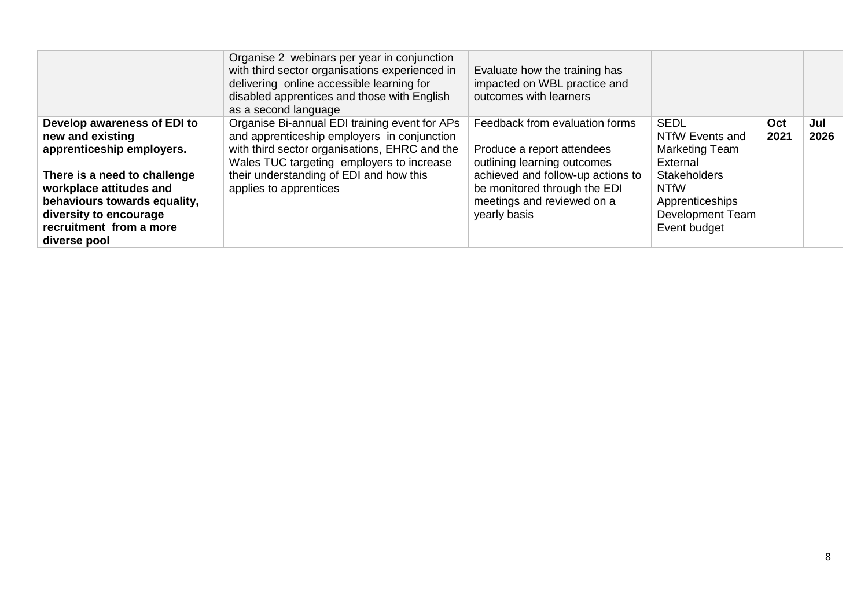|                                                                                                                                                              | Organise 2 webinars per year in conjunction<br>with third sector organisations experienced in<br>delivering online accessible learning for<br>disabled apprentices and those with English<br>as a second language | Evaluate how the training has<br>impacted on WBL practice and<br>outcomes with learners                         |                                                                                           |             |             |
|--------------------------------------------------------------------------------------------------------------------------------------------------------------|-------------------------------------------------------------------------------------------------------------------------------------------------------------------------------------------------------------------|-----------------------------------------------------------------------------------------------------------------|-------------------------------------------------------------------------------------------|-------------|-------------|
| Develop awareness of EDI to<br>new and existing<br>apprenticeship employers.                                                                                 | Organise Bi-annual EDI training event for APs<br>and apprenticeship employers in conjunction<br>with third sector organisations, EHRC and the<br>Wales TUC targeting employers to increase                        | Feedback from evaluation forms<br>Produce a report attendees<br>outlining learning outcomes                     | <b>SEDL</b><br>NTfW Events and<br>Marketing Team<br>External                              | Oct<br>2021 | Jul<br>2026 |
| There is a need to challenge<br>workplace attitudes and<br>behaviours towards equality,<br>diversity to encourage<br>recruitment from a more<br>diverse pool | their understanding of EDI and how this<br>applies to apprentices                                                                                                                                                 | achieved and follow-up actions to<br>be monitored through the EDI<br>meetings and reviewed on a<br>yearly basis | <b>Stakeholders</b><br><b>NTfW</b><br>Apprenticeships<br>Development Team<br>Event budget |             |             |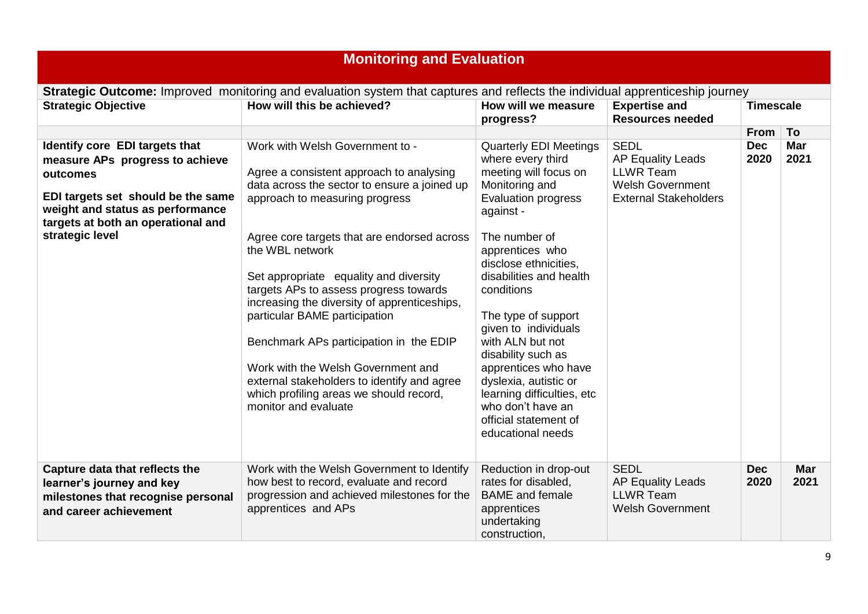| <b>Monitoring and Evaluation</b>                                                                                                                                                                                 |                                                                                                                                                                                                                                                                                                                                                                                                                                                                                                                                                                                                         |                                                                                                                                                                                                                                                                                                                                                                                                                                                                                           |                                                                                                                        |                    |                    |  |
|------------------------------------------------------------------------------------------------------------------------------------------------------------------------------------------------------------------|---------------------------------------------------------------------------------------------------------------------------------------------------------------------------------------------------------------------------------------------------------------------------------------------------------------------------------------------------------------------------------------------------------------------------------------------------------------------------------------------------------------------------------------------------------------------------------------------------------|-------------------------------------------------------------------------------------------------------------------------------------------------------------------------------------------------------------------------------------------------------------------------------------------------------------------------------------------------------------------------------------------------------------------------------------------------------------------------------------------|------------------------------------------------------------------------------------------------------------------------|--------------------|--------------------|--|
|                                                                                                                                                                                                                  | <b>Strategic Outcome:</b> Improved monitoring and evaluation system that captures and reflects the individual apprenticeship journey                                                                                                                                                                                                                                                                                                                                                                                                                                                                    |                                                                                                                                                                                                                                                                                                                                                                                                                                                                                           |                                                                                                                        |                    |                    |  |
| <b>Strategic Objective</b>                                                                                                                                                                                       | How will this be achieved?                                                                                                                                                                                                                                                                                                                                                                                                                                                                                                                                                                              | How will we measure<br>progress?                                                                                                                                                                                                                                                                                                                                                                                                                                                          | <b>Expertise and</b><br><b>Resources needed</b>                                                                        | <b>Timescale</b>   |                    |  |
|                                                                                                                                                                                                                  |                                                                                                                                                                                                                                                                                                                                                                                                                                                                                                                                                                                                         |                                                                                                                                                                                                                                                                                                                                                                                                                                                                                           |                                                                                                                        | From To            |                    |  |
| Identify core EDI targets that<br>measure APs progress to achieve<br>outcomes<br>EDI targets set should be the same<br>weight and status as performance<br>targets at both an operational and<br>strategic level | Work with Welsh Government to -<br>Agree a consistent approach to analysing<br>data across the sector to ensure a joined up<br>approach to measuring progress<br>Agree core targets that are endorsed across<br>the WBL network<br>Set appropriate equality and diversity<br>targets APs to assess progress towards<br>increasing the diversity of apprenticeships,<br>particular BAME participation<br>Benchmark APs participation in the EDIP<br>Work with the Welsh Government and<br>external stakeholders to identify and agree<br>which profiling areas we should record,<br>monitor and evaluate | <b>Quarterly EDI Meetings</b><br>where every third<br>meeting will focus on<br>Monitoring and<br><b>Evaluation progress</b><br>against -<br>The number of<br>apprentices who<br>disclose ethnicities.<br>disabilities and health<br>conditions<br>The type of support<br>given to individuals<br>with ALN but not<br>disability such as<br>apprentices who have<br>dyslexia, autistic or<br>learning difficulties, etc<br>who don't have an<br>official statement of<br>educational needs | <b>SEDL</b><br><b>AP Equality Leads</b><br><b>LLWR Team</b><br><b>Welsh Government</b><br><b>External Stakeholders</b> | <b>Dec</b><br>2020 | <b>Mar</b><br>2021 |  |
| Capture data that reflects the<br>learner's journey and key<br>milestones that recognise personal<br>and career achievement                                                                                      | Work with the Welsh Government to Identify<br>how best to record, evaluate and record<br>progression and achieved milestones for the<br>apprentices and APs                                                                                                                                                                                                                                                                                                                                                                                                                                             | Reduction in drop-out<br>rates for disabled,<br><b>BAME</b> and female<br>apprentices<br>undertaking<br>construction,                                                                                                                                                                                                                                                                                                                                                                     | <b>SEDL</b><br><b>AP Equality Leads</b><br><b>LLWR Team</b><br><b>Welsh Government</b>                                 | <b>Dec</b><br>2020 | <b>Mar</b><br>2021 |  |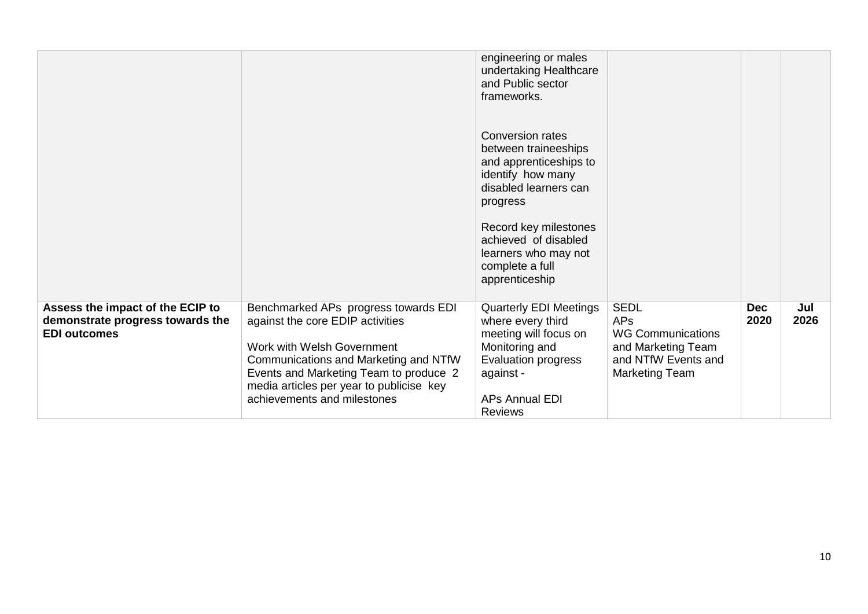|                                                                                             |                                                                                                                                                                                                                                                                      | engineering or males<br>undertaking Healthcare<br>and Public sector<br>frameworks.                                                                                           |                                                                                                                      |                    |             |
|---------------------------------------------------------------------------------------------|----------------------------------------------------------------------------------------------------------------------------------------------------------------------------------------------------------------------------------------------------------------------|------------------------------------------------------------------------------------------------------------------------------------------------------------------------------|----------------------------------------------------------------------------------------------------------------------|--------------------|-------------|
|                                                                                             |                                                                                                                                                                                                                                                                      | <b>Conversion rates</b><br>between traineeships<br>and apprenticeships to<br>identify how many<br>disabled learners can<br>progress                                          |                                                                                                                      |                    |             |
|                                                                                             |                                                                                                                                                                                                                                                                      | Record key milestones<br>achieved of disabled<br>learners who may not<br>complete a full<br>apprenticeship                                                                   |                                                                                                                      |                    |             |
| Assess the impact of the ECIP to<br>demonstrate progress towards the<br><b>EDI outcomes</b> | Benchmarked APs progress towards EDI<br>against the core EDIP activities<br>Work with Welsh Government<br>Communications and Marketing and NTfW<br>Events and Marketing Team to produce 2<br>media articles per year to publicise key<br>achievements and milestones | <b>Quarterly EDI Meetings</b><br>where every third<br>meeting will focus on<br>Monitoring and<br>Evaluation progress<br>against -<br><b>APs Annual EDI</b><br><b>Reviews</b> | <b>SEDL</b><br><b>APs</b><br><b>WG Communications</b><br>and Marketing Team<br>and NTfW Events and<br>Marketing Team | <b>Dec</b><br>2020 | Jul<br>2026 |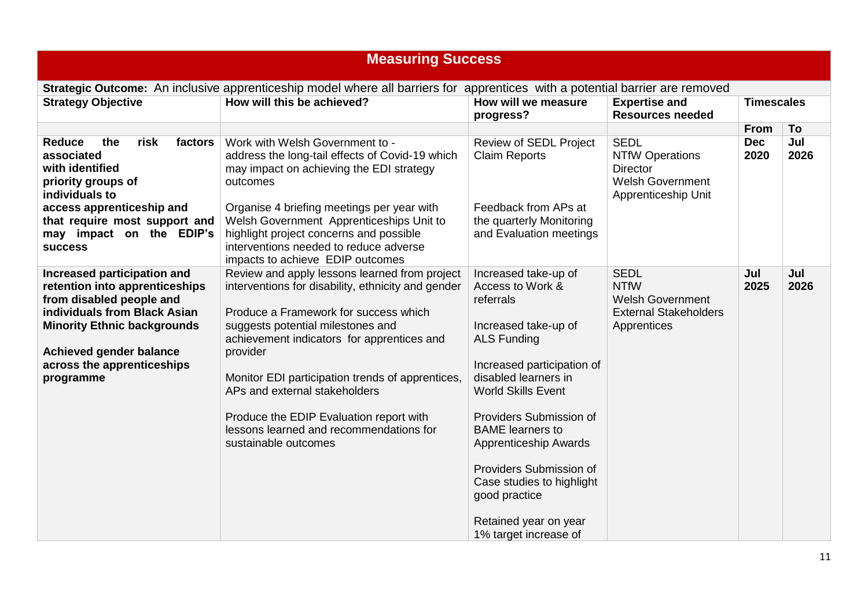| <b>Measuring Success</b>                                                                                                                                                                                                              |                                                                                                                                                                                                                                                                                                                                                                                                                                                |                                                                                                                                                                                                                                                                                                                                                                                                  |                                                                                                            |                    |             |  |  |
|---------------------------------------------------------------------------------------------------------------------------------------------------------------------------------------------------------------------------------------|------------------------------------------------------------------------------------------------------------------------------------------------------------------------------------------------------------------------------------------------------------------------------------------------------------------------------------------------------------------------------------------------------------------------------------------------|--------------------------------------------------------------------------------------------------------------------------------------------------------------------------------------------------------------------------------------------------------------------------------------------------------------------------------------------------------------------------------------------------|------------------------------------------------------------------------------------------------------------|--------------------|-------------|--|--|
| Strategic Outcome: An inclusive apprenticeship model where all barriers for apprentices with a potential barrier are removed                                                                                                          |                                                                                                                                                                                                                                                                                                                                                                                                                                                |                                                                                                                                                                                                                                                                                                                                                                                                  |                                                                                                            |                    |             |  |  |
| <b>Strategy Objective</b>                                                                                                                                                                                                             | How will this be achieved?                                                                                                                                                                                                                                                                                                                                                                                                                     | How will we measure<br>progress?                                                                                                                                                                                                                                                                                                                                                                 | <b>Expertise and</b><br><b>Resources needed</b>                                                            | <b>Timescales</b>  |             |  |  |
|                                                                                                                                                                                                                                       |                                                                                                                                                                                                                                                                                                                                                                                                                                                |                                                                                                                                                                                                                                                                                                                                                                                                  |                                                                                                            | From               | To          |  |  |
| <b>Reduce</b><br>the<br>risk<br>factors<br>associated<br>with identified<br>priority groups of<br>individuals to                                                                                                                      | Work with Welsh Government to -<br>address the long-tail effects of Covid-19 which<br>may impact on achieving the EDI strategy<br>outcomes                                                                                                                                                                                                                                                                                                     | <b>Review of SEDL Project</b><br><b>Claim Reports</b>                                                                                                                                                                                                                                                                                                                                            | <b>SEDL</b><br><b>NTfW Operations</b><br><b>Director</b><br><b>Welsh Government</b><br>Apprenticeship Unit | <b>Dec</b><br>2020 | Jul<br>2026 |  |  |
| access apprenticeship and<br>that require most support and<br>may impact on the EDIP's<br><b>SUCCESS</b>                                                                                                                              | Organise 4 briefing meetings per year with<br>Welsh Government Apprenticeships Unit to<br>highlight project concerns and possible<br>interventions needed to reduce adverse<br>impacts to achieve EDIP outcomes                                                                                                                                                                                                                                | Feedback from APs at<br>the quarterly Monitoring<br>and Evaluation meetings                                                                                                                                                                                                                                                                                                                      |                                                                                                            |                    |             |  |  |
| Increased participation and<br>retention into apprenticeships<br>from disabled people and<br>individuals from Black Asian<br><b>Minority Ethnic backgrounds</b><br>Achieved gender balance<br>across the apprenticeships<br>programme | Review and apply lessons learned from project<br>interventions for disability, ethnicity and gender<br>Produce a Framework for success which<br>suggests potential milestones and<br>achievement indicators for apprentices and<br>provider<br>Monitor EDI participation trends of apprentices,<br>APs and external stakeholders<br>Produce the EDIP Evaluation report with<br>lessons learned and recommendations for<br>sustainable outcomes | Increased take-up of<br>Access to Work &<br>referrals<br>Increased take-up of<br><b>ALS Funding</b><br>Increased participation of<br>disabled learners in<br><b>World Skills Event</b><br>Providers Submission of<br><b>BAME</b> learners to<br>Apprenticeship Awards<br>Providers Submission of<br>Case studies to highlight<br>good practice<br>Retained year on year<br>1% target increase of | <b>SEDL</b><br><b>NTfW</b><br><b>Welsh Government</b><br><b>External Stakeholders</b><br>Apprentices       | Jul<br>2025        | Jul<br>2026 |  |  |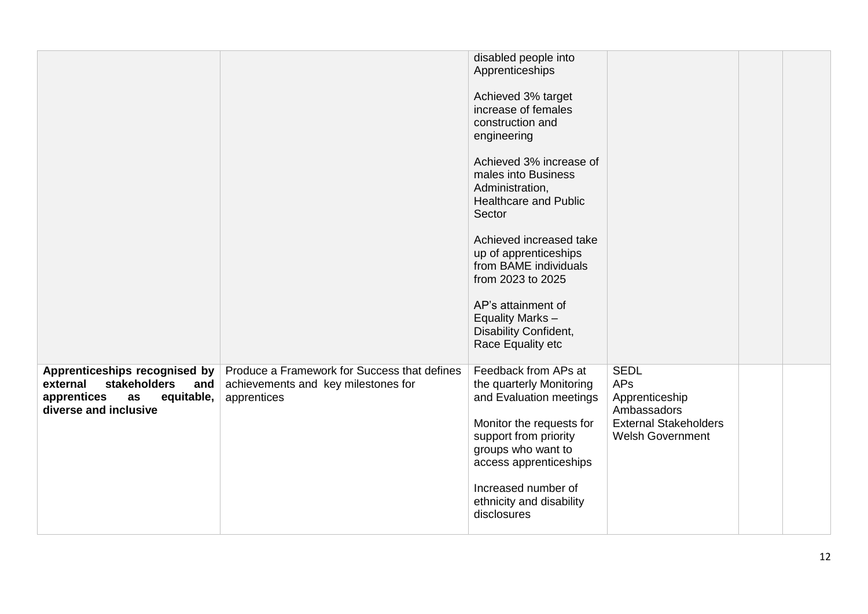|                                                                                                                                     |                                                                                                    | disabled people into<br>Apprenticeships                                                                                                                                          |                                                                                                                       |  |
|-------------------------------------------------------------------------------------------------------------------------------------|----------------------------------------------------------------------------------------------------|----------------------------------------------------------------------------------------------------------------------------------------------------------------------------------|-----------------------------------------------------------------------------------------------------------------------|--|
|                                                                                                                                     |                                                                                                    | Achieved 3% target<br>increase of females<br>construction and<br>engineering                                                                                                     |                                                                                                                       |  |
|                                                                                                                                     |                                                                                                    | Achieved 3% increase of<br>males into Business<br>Administration,<br><b>Healthcare and Public</b><br>Sector                                                                      |                                                                                                                       |  |
|                                                                                                                                     |                                                                                                    | Achieved increased take<br>up of apprenticeships<br>from BAME individuals<br>from 2023 to 2025                                                                                   |                                                                                                                       |  |
|                                                                                                                                     |                                                                                                    | AP's attainment of<br>Equality Marks-<br>Disability Confident,<br>Race Equality etc                                                                                              |                                                                                                                       |  |
| Apprenticeships recognised by<br><b>stakeholders</b><br>external<br>and<br>equitable,<br>apprentices<br>as<br>diverse and inclusive | Produce a Framework for Success that defines<br>achievements and key milestones for<br>apprentices | Feedback from APs at<br>the quarterly Monitoring<br>and Evaluation meetings<br>Monitor the requests for<br>support from priority<br>groups who want to<br>access apprenticeships | <b>SEDL</b><br><b>APs</b><br>Apprenticeship<br>Ambassadors<br><b>External Stakeholders</b><br><b>Welsh Government</b> |  |
|                                                                                                                                     |                                                                                                    | Increased number of<br>ethnicity and disability<br>disclosures                                                                                                                   |                                                                                                                       |  |